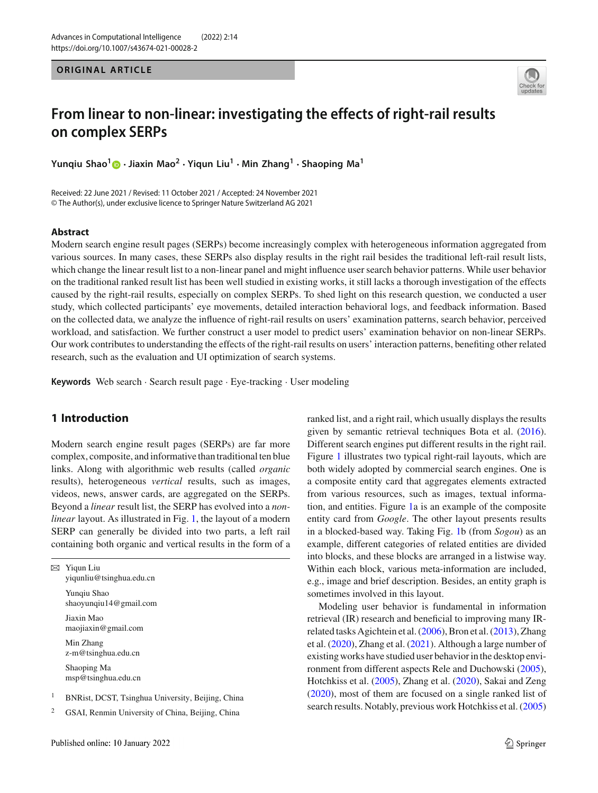**ORIGINAL ARTICLE** 



# **From linear to non-linear: investigating the effects of right-rail results on complex SERPs**

**Yunqiu Shao[1](http://orcid.org/0000-0002-1727-8311) · Jiaxin Mao<sup>2</sup> · Yiqun Liu<sup>1</sup> · Min Zhang1 · Shaoping Ma<sup>1</sup>**

Received: 22 June 2021 / Revised: 11 October 2021 / Accepted: 24 November 2021 © The Author(s), under exclusive licence to Springer Nature Switzerland AG 2021

## **Abstract**

Modern search engine result pages (SERPs) become increasingly complex with heterogeneous information aggregated from various sources. In many cases, these SERPs also display results in the right rail besides the traditional left-rail result lists, which change the linear result list to a non-linear panel and might influence user search behavior patterns. While user behavior on the traditional ranked result list has been well studied in existing works, it still lacks a thorough investigation of the effects caused by the right-rail results, especially on complex SERPs. To shed light on this research question, we conducted a user study, which collected participants' eye movements, detailed interaction behavioral logs, and feedback information. Based on the collected data, we analyze the influence of right-rail results on users' examination patterns, search behavior, perceived workload, and satisfaction. We further construct a user model to predict users' examination behavior on non-linear SERPs. Our work contributes to understanding the effects of the right-rail results on users' interaction patterns, benefiting other related research, such as the evaluation and UI optimization of search systems.

**Keywords** Web search · Search result page · Eye-tracking · User modeling

# **1 Introduction**

Modern search engine result pages (SERPs) are far more complex, composite, and informative than traditional ten blue links. Along with algorithmic web results (called *organic* results), heterogeneous *vertical* results, such as images, videos, news, answer cards, are aggregated on the SERPs. Beyond a *linear* result list, the SERP has evolved into a *nonlinear* layout. As illustrated in Fig. [1,](#page-1-0) the layout of a modern SERP can generally be divided into two parts, a left rail containing both organic and vertical results in the form of a

 $\boxtimes$  Yiqun Liu yiqunliu@tsinghua.edu.cn Yunqiu Shao shaoyunqiu14@gmail.com Jiaxin Mao maojiaxin@gmail.com Min Zhang z-m@tsinghua.edu.cn Shaoping Ma msp@tsinghua.edu.cn

<sup>1</sup> BNRist, DCST, Tsinghua University, Beijing, China

<sup>2</sup> GSAI, Renmin University of China, Beijing, China

ranked list, and a right rail, which usually displays the results given by semantic retrieval techniques Bota et al[.](#page-14-0) [\(2016](#page-14-0)). Different search engines put different results in the right rail. Figure [1](#page-1-0) illustrates two typical right-rail layouts, which are both widely adopted by commercial search engines. One is a composite entity card that aggregates elements extracted from various resources, such as images, textual information, and entities. Figure [1a](#page-1-0) is an example of the composite entity card from *Google*. The other layout presents results in a blocked-based way. Taking Fig. [1b](#page-1-0) (from *Sogou*) as an example, different categories of related entities are divided into blocks, and these blocks are arranged in a listwise way. Within each block, various meta-information are included, e.g., image and brief description. Besides, an entity graph is sometimes involved in this layout.

Modeling user behavior is fundamental in information retrieval (IR) research and beneficial to improving many IRrelated tasks Agichtein et al[.](#page-14-1) [\(2006\)](#page-14-1), Bron et al[.](#page-14-2) [\(2013\)](#page-14-2), Zhang et al[.](#page-15-0) [\(2020\)](#page-15-0), Zhang et al[.](#page-15-1) [\(2021\)](#page-15-1). Although a large number of existing works have studied user behavior in the desktop environment from different aspects Rele and Duchowsk[i](#page-14-3) [\(2005](#page-14-3)), Hotchkiss et al[.](#page-14-4) [\(2005](#page-14-4)), Zhang et al[.](#page-15-0) [\(2020](#page-15-0)), Sakai and Zen[g](#page-14-5) [\(2020](#page-14-5)), most of them are focused on a single ranked list of search results. Notably, previous work Hotchkiss et al[.](#page-14-4) [\(2005\)](#page-14-4)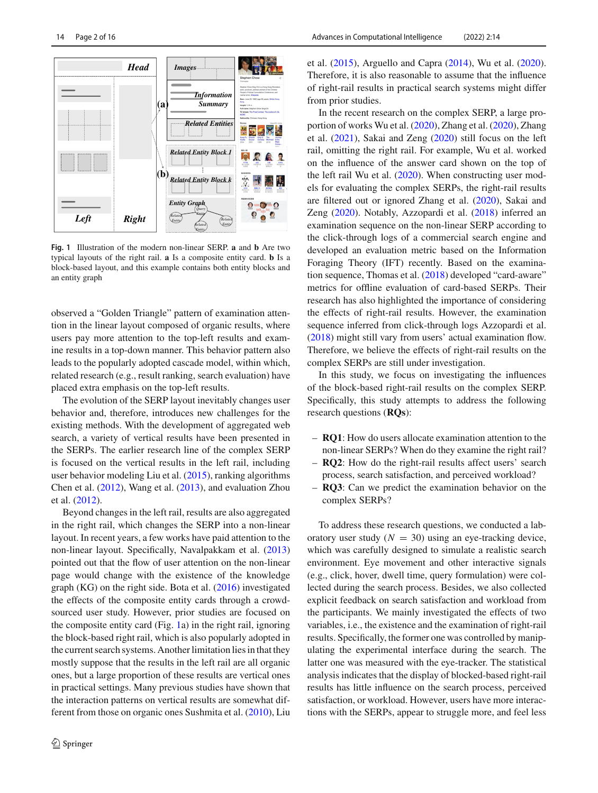

<span id="page-1-0"></span>**Fig. 1** Illustration of the modern non-linear SERP. **a** and **b** Are two typical layouts of the right rail. **a** Is a composite entity card. **b** Is a block-based layout, and this example contains both entity blocks and an entity graph

observed a "Golden Triangle" pattern of examination attention in the linear layout composed of organic results, where users pay more attention to the top-left results and examine results in a top-down manner. This behavior pattern also leads to the popularly adopted cascade model, within which, related research (e.g., result ranking, search evaluation) have placed extra emphasis on the top-left results.

The evolution of the SERP layout inevitably changes user behavior and, therefore, introduces new challenges for the existing methods. With the development of aggregated web search, a variety of vertical results have been presented in the SERPs. The earlier research line of the complex SERP is focused on the vertical results in the left rail, including user behavior modeling Liu et al[.](#page-14-6) [\(2015](#page-14-6)), ranking algorithms Chen et al[.](#page-14-7) [\(2012\)](#page-14-7), Wang et al[.](#page-15-2) [\(2013](#page-15-2)), and evaluation Zhou et al[.](#page-15-3) [\(2012](#page-15-3)).

Beyond changes in the left rail, results are also aggregated in the right rail, which changes the SERP into a non-linear layout. In recent years, a few works have paid attention to the non-linear layout. Specifically, Navalpakkam et al[.](#page-14-8) [\(2013\)](#page-14-8) pointed out that the flow of user attention on the non-linear page would change with the existence of the knowledge graph (KG) on the right side. Bota et al[.](#page-14-0) [\(2016\)](#page-14-0) investigated the effects of the composite entity cards through a crowdsourced user study. However, prior studies are focused on the composite entity card (Fig. [1a](#page-1-0)) in the right rail, ignoring the block-based right rail, which is also popularly adopted in the current search systems. Another limitation lies in that they mostly suppose that the results in the left rail are all organic ones, but a large proportion of these results are vertical ones in practical settings. Many previous studies have shown that the interaction patterns on vertical results are somewhat different from those on organic ones Sushmita et al[.](#page-15-4) [\(2010\)](#page-15-4), Liu et al[.](#page-14-6) [\(2015](#page-14-6)), Arguello and Capr[a](#page-14-9) [\(2014\)](#page-14-9), Wu et al[.](#page-15-5) [\(2020](#page-15-5)). Therefore, it is also reasonable to assume that the influence of right-rail results in practical search systems might differ from prior studies.

In the recent research on the complex SERP, a large proportion of works Wu et al[.](#page-15-5) [\(2020](#page-15-5)), Zhang et al[.](#page-15-0) [\(2020](#page-15-0)), Zhang et al[.](#page-15-1) [\(2021\)](#page-15-1), Sakai and Zen[g](#page-14-5) [\(2020](#page-14-5)) still focus on the left rail, omitting the right rail. For example, Wu et al. worked on the influence of the answer card shown on the top of the left rail Wu et al[.](#page-15-5) [\(2020](#page-15-5)). When constructing user models for evaluating the complex SERPs, the right-rail results are filtered out or ignored Zhang et al[.](#page-15-0) [\(2020](#page-15-0)), Sakai and Zen[g](#page-14-5) [\(2020](#page-14-5)). Notably, Azzopardi et al[.](#page-14-10) [\(2018\)](#page-14-10) inferred an examination sequence on the non-linear SERP according to the click-through logs of a commercial search engine and developed an evaluation metric based on the Information Foraging Theory (IFT) recently. Based on the examination sequence, Thomas et al[.](#page-15-6) [\(2018](#page-15-6)) developed "card-aware" metrics for offline evaluation of card-based SERPs. Their research has also highlighted the importance of considering the effects of right-rail results. However, the examination sequence inferred from click-through logs Azzopardi et al[.](#page-14-10) [\(2018](#page-14-10)) might still vary from users' actual examination flow. Therefore, we believe the effects of right-rail results on the complex SERPs are still under investigation.

In this study, we focus on investigating the influences of the block-based right-rail results on the complex SERP. Specifically, this study attempts to address the following research questions (**RQs**):

- **RQ1**: How do users allocate examination attention to the non-linear SERPs? When do they examine the right rail?
- **RQ2**: How do the right-rail results affect users' search process, search satisfaction, and perceived workload?
- **RQ3**: Can we predict the examination behavior on the complex SERPs?

To address these research questions, we conducted a laboratory user study  $(N = 30)$  using an eye-tracking device, which was carefully designed to simulate a realistic search environment. Eye movement and other interactive signals (e.g., click, hover, dwell time, query formulation) were collected during the search process. Besides, we also collected explicit feedback on search satisfaction and workload from the participants. We mainly investigated the effects of two variables, i.e., the existence and the examination of right-rail results. Specifically, the former one was controlled by manipulating the experimental interface during the search. The latter one was measured with the eye-tracker. The statistical analysis indicates that the display of blocked-based right-rail results has little influence on the search process, perceived satisfaction, or workload. However, users have more interactions with the SERPs, appear to struggle more, and feel less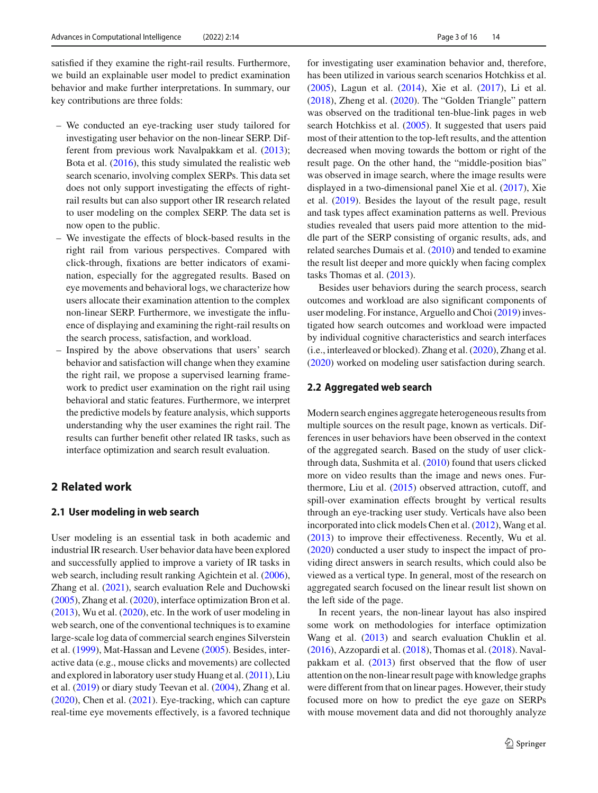satisfied if they examine the right-rail results. Furthermore, we build an explainable user model to predict examination behavior and make further interpretations. In summary, our key contributions are three folds:

- We conducted an eye-tracking user study tailored for investigating user behavior on the non-linear SERP. Different from previous work Navalpakkam et al[.](#page-14-8) [\(2013](#page-14-8)); Bota et al[.](#page-14-0) [\(2016\)](#page-14-0), this study simulated the realistic web search scenario, involving complex SERPs. This data set does not only support investigating the effects of rightrail results but can also support other IR research related to user modeling on the complex SERP. The data set is now open to the public.
- We investigate the effects of block-based results in the right rail from various perspectives. Compared with click-through, fixations are better indicators of examination, especially for the aggregated results. Based on eye movements and behavioral logs, we characterize how users allocate their examination attention to the complex non-linear SERP. Furthermore, we investigate the influence of displaying and examining the right-rail results on the search process, satisfaction, and workload.
- Inspired by the above observations that users' search behavior and satisfaction will change when they examine the right rail, we propose a supervised learning framework to predict user examination on the right rail using behavioral and static features. Furthermore, we interpret the predictive models by feature analysis, which supports understanding why the user examines the right rail. The results can further benefit other related IR tasks, such as interface optimization and search result evaluation.

# **2 Related work**

# **2.1 User modeling in web search**

User modeling is an essential task in both academic and industrial IR research. User behavior data have been explored and successfully applied to improve a variety of IR tasks in web search, including result ranking Agichtein et al[.](#page-14-1)  $(2006)$  $(2006)$ , Zhang et al[.](#page-15-1) [\(2021](#page-15-1)), search evaluation Rele and Duchowsk[i](#page-14-3) [\(2005](#page-14-3)), Zhang et al[.](#page-15-0) [\(2020\)](#page-15-0), interface optimization Bron et al[.](#page-14-2) [\(2013](#page-14-2)), Wu et al[.](#page-15-5) [\(2020](#page-15-5)), etc. In the work of user modeling in web search, one of the conventional techniques is to examine large-scale log data of commercial search engines Silverstein et al[.](#page-15-7) [\(1999](#page-15-7)), Mat-Hassan and Leven[e](#page-14-11) [\(2005](#page-14-11)). Besides, interactive data (e.g., mouse clicks and movements) are collected and explored in laboratory user study Huang et al[.](#page-14-12) [\(2011\)](#page-14-12), Liu et al[.](#page-14-13) [\(2019\)](#page-14-13) or diary study Teevan et al[.](#page-15-8) [\(2004](#page-15-8)), Zhang et al[.](#page-15-0) [\(2020](#page-15-0)), Chen et al[.](#page-14-14) [\(2021\)](#page-14-14). Eye-tracking, which can capture real-time eye movements effectively, is a favored technique

for investigating user examination behavior and, therefore, has been utilized in various search scenarios Hotchkiss et al[.](#page-14-4) [\(2005](#page-14-4)), Lagun et al[.](#page-14-15) [\(2014\)](#page-14-15), Xie et al[.](#page-15-9) [\(2017\)](#page-15-9), Li et al[.](#page-14-16) [\(2018](#page-14-16)), Zheng et al[.](#page-15-10) [\(2020](#page-15-10)). The "Golden Triangle" pattern was observed on the traditional ten-blue-link pages in web search Hotchkiss et al[.](#page-14-4) [\(2005](#page-14-4)). It suggested that users paid most of their attention to the top-left results, and the attention decreased when moving towards the bottom or right of the result page. On the other hand, the "middle-position bias" was observed in image search, where the image results were displayed in a two-dimensional panel Xie et al[.](#page-15-9) [\(2017](#page-15-9)), Xie et al[.](#page-15-11) [\(2019\)](#page-15-11). Besides the layout of the result page, result and task types affect examination patterns as well. Previous studies revealed that users paid more attention to the middle part of the SERP consisting of organic results, ads, and related searches Dumais et al[.](#page-14-17) [\(2010\)](#page-14-17) and tended to examine the result list deeper and more quickly when facing complex tasks Thomas et al[.](#page-15-12) [\(2013](#page-15-12)).

Besides user behaviors during the search process, search outcomes and workload are also significant components of user modeling. For instance, Arguello and Cho[i](#page-14-18) [\(2019](#page-14-18)) investigated how search outcomes and workload were impacted by individual cognitive characteristics and search interfaces (i.e., interleaved or blocked). Zhang et al[.](#page-15-0) [\(2020](#page-15-0)), Zhang et al[.](#page-15-13) [\(2020](#page-15-13)) worked on modeling user satisfaction during search.

### **2.2 Aggregated web search**

Modern search engines aggregate heterogeneous results from multiple sources on the result page, known as verticals. Differences in user behaviors have been observed in the context of the aggregated search. Based on the study of user clickthrough data, Sushmita et al[.](#page-15-4) [\(2010\)](#page-15-4) found that users clicked more on video results than the image and news ones. Furthermore, Liu et al[.](#page-14-6) [\(2015\)](#page-14-6) observed attraction, cutoff, and spill-over examination effects brought by vertical results through an eye-tracking user study. Verticals have also been incorporated into click models Chen et al[.](#page-14-7) [\(2012](#page-14-7)), Wang et al[.](#page-15-2) [\(2013](#page-15-2)) to improve their effectiveness. Recently, Wu et al[.](#page-15-5) [\(2020](#page-15-5)) conducted a user study to inspect the impact of providing direct answers in search results, which could also be viewed as a vertical type. In general, most of the research on aggregated search focused on the linear result list shown on the left side of the page.

In recent years, the non-linear layout has also inspired some work on methodologies for interface optimization Wang et al[.](#page-15-2) [\(2013](#page-15-2)) and search evaluation Chuklin et al[.](#page-14-19) [\(2016](#page-14-19)), Azzopardi et al[.](#page-14-10) [\(2018](#page-14-10)), Thomas et al[.](#page-15-6) [\(2018\)](#page-15-6). Navalpakkam et al[.](#page-14-8) [\(2013\)](#page-14-8) first observed that the flow of user attention on the non-linear result page with knowledge graphs were different from that on linear pages. However, their study focused more on how to predict the eye gaze on SERPs with mouse movement data and did not thoroughly analyze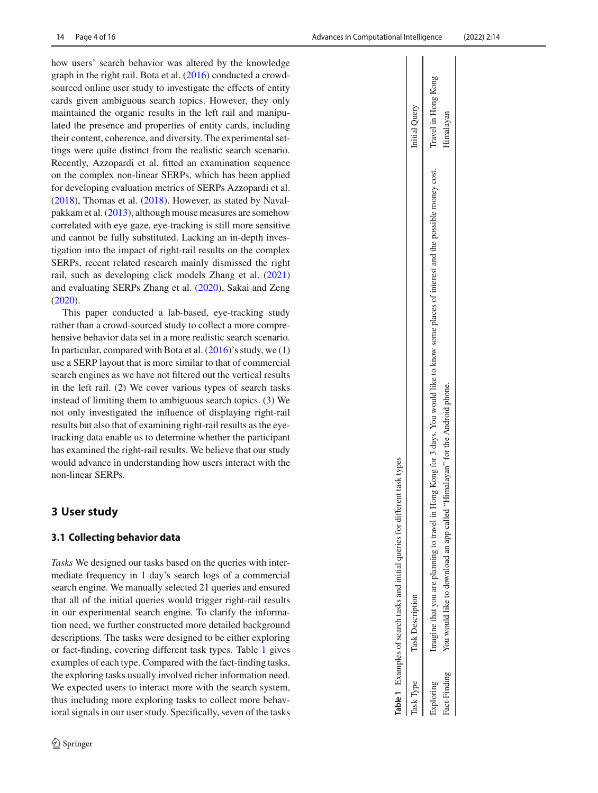how users' search behavior was altered by the knowledge graph in the right rail. Bota et al[.](#page-14-0) [\(2016\)](#page-14-0) conducted a crowdsourced online user study to investigate the effects of entity cards given ambiguous search topics. However, they only maintained the organic results in the left rail and manipulated the presence and properties of entity cards, including their content, coherence, and diversity. The experimental settings were quite distinct from the realistic search scenario. Recently, Azzopardi et al. fitted an examination sequence on the complex non-linear SERPs, which has been applied for developing evaluation metrics of SERPs Azzopardi et al[.](#page-14-10) [\(2018](#page-14-10)), Thomas et al[.](#page-15-6) [\(2018](#page-15-6)). However, as stated by Navalpakkam et al[.](#page-14-8) [\(2013](#page-14-8)), although mouse measures are somehow correlated with eye gaze, eye-tracking is still more sensitive and cannot be fully substituted. Lacking an in-depth investigation into the impact of right-rail results on the complex SERPs, recent related research mainly dismissed the right rail, such as developing click models Zhang et al[.](#page-15-1) [\(2021\)](#page-15-1) and evaluating SERPs Zhang et al[.](#page-15-0) [\(2020](#page-15-0)), Sakai and Zen[g](#page-14-5) [\(2020](#page-14-5)).

This paper conducted a lab-based, eye-tracking study rather than a crowd-sourced study to collect a more comprehensive behavior data set in a more realistic search scenario. In particular, compared with Bota et al[.](#page-14-0) [\(2016](#page-14-0))'s study, we (1) use a SERP layout that is more similar to that of commercial search engines as we have not filtered out the vertical results in the left rail. (2) We cover various types of search tasks instead of limiting them to ambiguous search topics. (3) We not only investigated the influence of displaying right-rail results but also that of examining right-rail results as the eyetracking data enable us to determine whether the participant has examined the right-rail results. We believe that our study would advance in understanding how users interact with the non-linear SERPs.

# <span id="page-3-1"></span>**3 User study**

# **3.1 Collecting behavior data**

<span id="page-3-0"></span>*Tasks* We designed our tasks based on the queries with intermediate frequency in 1 day's search logs of a commercial search engine. We manually selected 21 queries and ensured that all of the initial queries would trigger right-rail results in our experimental search engine. To clarify the information need, we further constructed more detailed background descriptions. The tasks were designed to be either exploring or fact-finding, covering different task types. Table [1](#page-3-0) gives examples of each type. Compared with the fact-finding tasks, the exploring tasks usually involved richer information need. We expected users to interact more with the search system, thus including more exploring tasks to collect more behavioral signals in our user study. Specifically, seven of the tasks

|             | rent task types<br>able 1 Examples of search tasks and initial queries for differ-                                                          |                     |
|-------------|---------------------------------------------------------------------------------------------------------------------------------------------|---------------------|
| ask Type    | <b>Task Description</b>                                                                                                                     | nitial Query        |
| xploring    | magine that you are planning to travel in Hong Kong for 3 days. You would like to know some places of interest and the possible money cost. | Travel in Hong Kong |
| act-Finding | "Himalayan" for the Android phone<br>You would like to download an app called                                                               | Himalayan           |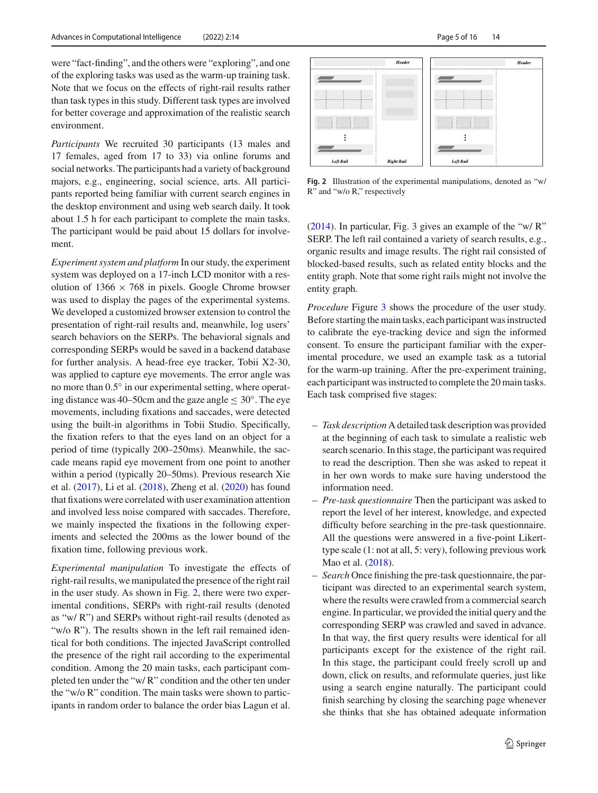were "fact-finding", and the others were "exploring", and one of the exploring tasks was used as the warm-up training task. Note that we focus on the effects of right-rail results rather than task types in this study. Different task types are involved for better coverage and approximation of the realistic search environment.

*Participants* We recruited 30 participants (13 males and 17 females, aged from 17 to 33) via online forums and social networks. The participants had a variety of background majors, e.g., engineering, social science, arts. All participants reported being familiar with current search engines in the desktop environment and using web search daily. It took about 1.5 h for each participant to complete the main tasks. The participant would be paid about 15 dollars for involvement.

*Experiment system and platform* In our study, the experiment system was deployed on a 17-inch LCD monitor with a resolution of  $1366 \times 768$  in pixels. Google Chrome browser was used to display the pages of the experimental systems. We developed a customized browser extension to control the presentation of right-rail results and, meanwhile, log users' search behaviors on the SERPs. The behavioral signals and corresponding SERPs would be saved in a backend database for further analysis. A head-free eye tracker, Tobii X2-30, was applied to capture eye movements. The error angle was no more than 0.5◦ in our experimental setting, where operating distance was 40–50cm and the gaze angle  $\leq 30^{\circ}$ . The eye movements, including fixations and saccades, were detected using the built-in algorithms in Tobii Studio. Specifically, the fixation refers to that the eyes land on an object for a period of time (typically 200–250ms). Meanwhile, the saccade means rapid eye movement from one point to another within a period (typically 20–50ms). Previous research Xie et al[.](#page-15-9) [\(2017](#page-15-9)), Li et al[.](#page-14-16) [\(2018\)](#page-14-16), Zheng et al[.](#page-15-10) [\(2020\)](#page-15-10) has found that fixations were correlated with user examination attention and involved less noise compared with saccades. Therefore, we mainly inspected the fixations in the following experiments and selected the 200ms as the lower bound of the fixation time, following previous work.

*Experimental manipulation* To investigate the effects of right-rail results, we manipulated the presence of the right rail in the user study. As shown in Fig. [2,](#page-4-0) there were two experimental conditions, SERPs with right-rail results (denoted as "w/ R") and SERPs without right-rail results (denoted as "w/o R"). The results shown in the left rail remained identical for both conditions. The injected JavaScript controlled the presence of the right rail according to the experimental condition. Among the 20 main tasks, each participant completed ten under the "w/ R" condition and the other ten under the "w/o R" condition. The main tasks were shown to participants in random order to balance the order bias Lagun et al[.](#page-14-15)



<span id="page-4-0"></span>**Fig. 2** Illustration of the experimental manipulations, denoted as "w/ R" and "w/o R," respectively

[\(2014](#page-14-15)). In particular, Fig. [3](#page-5-0) gives an example of the "w/ R" SERP. The left rail contained a variety of search results, e.g., organic results and image results. The right rail consisted of blocked-based results, such as related entity blocks and the entity graph. Note that some right rails might not involve the entity graph.

*Procedure* Figure [3](#page-5-0) shows the procedure of the user study. Before starting the main tasks, each participant was instructed to calibrate the eye-tracking device and sign the informed consent. To ensure the participant familiar with the experimental procedure, we used an example task as a tutorial for the warm-up training. After the pre-experiment training, each participant was instructed to complete the 20 main tasks. Each task comprised five stages:

- *Task description* A detailed task description was provided at the beginning of each task to simulate a realistic web search scenario. In this stage, the participant was required to read the description. Then she was asked to repeat it in her own words to make sure having understood the information need.
- *Pre-task questionnaire* Then the participant was asked to report the level of her interest, knowledge, and expected difficulty before searching in the pre-task questionnaire. All the questions were answered in a five-point Likerttype scale (1: not at all, 5: very), following previous work Mao et al[.](#page-14-20) [\(2018\)](#page-14-20).
- *Search* Once finishing the pre-task questionnaire, the participant was directed to an experimental search system, where the results were crawled from a commercial search engine. In particular, we provided the initial query and the corresponding SERP was crawled and saved in advance. In that way, the first query results were identical for all participants except for the existence of the right rail. In this stage, the participant could freely scroll up and down, click on results, and reformulate queries, just like using a search engine naturally. The participant could finish searching by closing the searching page whenever she thinks that she has obtained adequate information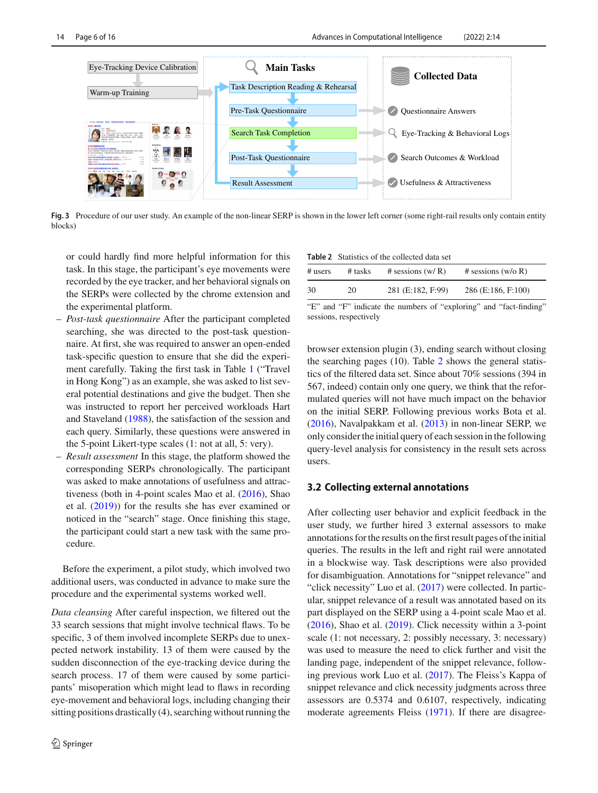

<span id="page-5-0"></span>**Fig. 3** Procedure of our user study. An example of the non-linear SERP is shown in the lower left corner (some right-rail results only contain entity blocks)

or could hardly find more helpful information for this task. In this stage, the participant's eye movements were recorded by the eye tracker, and her behavioral signals on the SERPs were collected by the chrome extension and the experimental platform.

- *Post-task questionnaire* After the participant completed searching, she was directed to the post-task questionnaire. At first, she was required to answer an open-ended task-specific question to ensure that she did the experiment carefully. Taking the first task in Table [1](#page-3-0) ("Travel in Hong Kong") as an example, she was asked to list several potential destinations and give the budget. Then she was instructed to report her perceived workloads Hart and Stavelan[d](#page-14-21) [\(1988](#page-14-21)), the satisfaction of the session and each query. Similarly, these questions were answered in the 5-point Likert-type scales (1: not at all, 5: very).
- *Result assessment* In this stage, the platform showed the corresponding SERPs chronologically. The participant was asked to make annotations of usefulness and attractiveness (both in 4-point scales Mao et al[.](#page-14-22) [\(2016\)](#page-14-22), Shao et al[.](#page-15-14) [\(2019](#page-15-14))) for the results she has ever examined or noticed in the "search" stage. Once finishing this stage, the participant could start a new task with the same procedure.

Before the experiment, a pilot study, which involved two additional users, was conducted in advance to make sure the procedure and the experimental systems worked well.

*Data cleansing* After careful inspection, we filtered out the 33 search sessions that might involve technical flaws. To be specific, 3 of them involved incomplete SERPs due to unexpected network instability. 13 of them were caused by the sudden disconnection of the eye-tracking device during the search process. 17 of them were caused by some participants' misoperation which might lead to flaws in recording eye-movement and behavioral logs, including changing their sitting positions drastically (4), searching without running the

| <b>Table 2</b> Statistics of the collected data set |
|-----------------------------------------------------|
|                                                     |

<span id="page-5-1"></span>

| # users | $#$ tasks | # sessions $(w/R)$ | # sessions $(w/o R)$ |
|---------|-----------|--------------------|----------------------|
| 30      | 20        | 281 (E:182, F:99)  | 286 (E:186, F:100)   |

"E" and "F" indicate the numbers of "exploring" and "fact-finding" sessions, respectively

browser extension plugin (3), ending search without closing the searching pages (10). Table [2](#page-5-1) shows the general statistics of the filtered data set. Since about 70% sessions (394 in 567, indeed) contain only one query, we think that the reformulated queries will not have much impact on the behavior on the initial SERP. Following previous works Bota et al[.](#page-14-0) [\(2016](#page-14-0)), Navalpakkam et al[.](#page-14-8) [\(2013\)](#page-14-8) in non-linear SERP, we only consider the initial query of each session in the following query-level analysis for consistency in the result sets across users.

# **3.2 Collecting external annotations**

After collecting user behavior and explicit feedback in the user study, we further hired 3 external assessors to make annotations for the results on the first result pages of the initial queries. The results in the left and right rail were annotated in a blockwise way. Task descriptions were also provided for disambiguation. Annotations for "snippet relevance" and "click necessity" Luo et al[.](#page-14-23) [\(2017](#page-14-23)) were collected. In particular, snippet relevance of a result was annotated based on its part displayed on the SERP using a 4-point scale Mao et al[.](#page-14-22) [\(2016](#page-14-22)), Shao et al[.](#page-15-14) [\(2019\)](#page-15-14). Click necessity within a 3-point scale (1: not necessary, 2: possibly necessary, 3: necessary) was used to measure the need to click further and visit the landing page, independent of the snippet relevance, following previous work Luo et al[.](#page-14-23) [\(2017](#page-14-23)). The Fleiss's Kappa of snippet relevance and click necessity judgments across three assessors are 0.5374 and 0.6107, respectively, indicating moderate agreements Fleis[s](#page-14-24) [\(1971](#page-14-24)). If there are disagree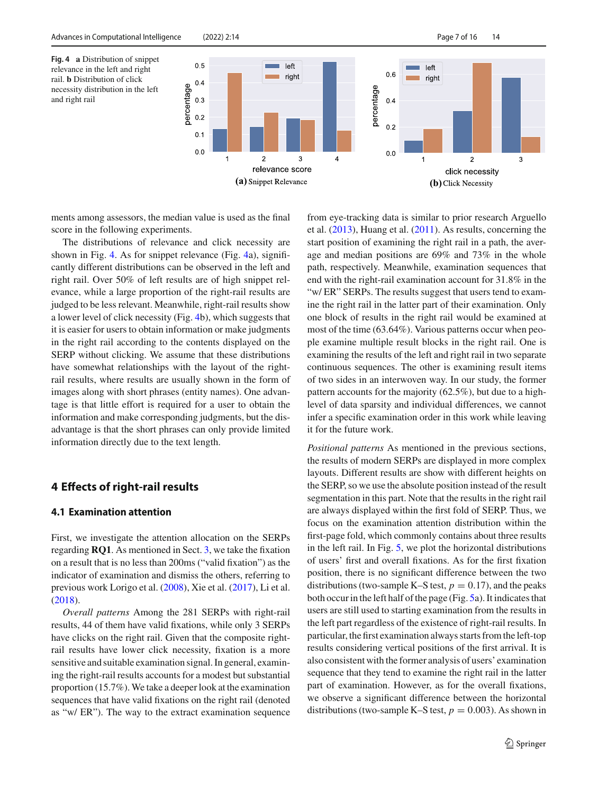and right rail

<span id="page-6-0"></span>

ments among assessors, the median value is used as the final score in the following experiments.

The distributions of relevance and click necessity are shown in Fig. [4.](#page-6-0) As for snippet relevance (Fig. [4a](#page-6-0)), significantly different distributions can be observed in the left and right rail. Over 50% of left results are of high snippet relevance, while a large proportion of the right-rail results are judged to be less relevant. Meanwhile, right-rail results show a lower level of click necessity (Fig. [4b](#page-6-0)), which suggests that it is easier for users to obtain information or make judgments in the right rail according to the contents displayed on the SERP without clicking. We assume that these distributions have somewhat relationships with the layout of the rightrail results, where results are usually shown in the form of images along with short phrases (entity names). One advantage is that little effort is required for a user to obtain the information and make corresponding judgments, but the disadvantage is that the short phrases can only provide limited information directly due to the text length.

# **4 Effects of right-rail results**

### **4.1 Examination attention**

First, we investigate the attention allocation on the SERPs regarding **RQ1**. As mentioned in Sect. [3,](#page-3-1) we take the fixation on a result that is no less than 200ms ("valid fixation") as the indicator of examination and dismiss the others, referring to previous work Lorigo et al[.](#page-14-25) [\(2008\)](#page-14-25), Xie et al[.](#page-15-9) [\(2017](#page-15-9)), Li et al[.](#page-14-16) [\(2018](#page-14-16)).

*Overall patterns* Among the 281 SERPs with right-rail results, 44 of them have valid fixations, while only 3 SERPs have clicks on the right rail. Given that the composite rightrail results have lower click necessity, fixation is a more sensitive and suitable examination signal. In general, examining the right-rail results accounts for a modest but substantial proportion (15.7%). We take a deeper look at the examination sequences that have valid fixations on the right rail (denoted as "w/ ER"). The way to the extract examination sequence from eye-tracking data is similar to prior research Arguello et al[.](#page-14-26) [\(2013\)](#page-14-26), Huang et al[.](#page-14-12) [\(2011\)](#page-14-12). As results, concerning the start position of examining the right rail in a path, the average and median positions are 69% and 73% in the whole path, respectively. Meanwhile, examination sequences that end with the right-rail examination account for 31.8% in the "w/ ER" SERPs. The results suggest that users tend to examine the right rail in the latter part of their examination. Only one block of results in the right rail would be examined at most of the time (63.64%). Various patterns occur when people examine multiple result blocks in the right rail. One is examining the results of the left and right rail in two separate continuous sequences. The other is examining result items of two sides in an interwoven way. In our study, the former pattern accounts for the majority (62.5%), but due to a highlevel of data sparsity and individual differences, we cannot infer a specific examination order in this work while leaving it for the future work.

*Positional patterns* As mentioned in the previous sections, the results of modern SERPs are displayed in more complex layouts. Different results are show with different heights on the SERP, so we use the absolute position instead of the result segmentation in this part. Note that the results in the right rail are always displayed within the first fold of SERP. Thus, we focus on the examination attention distribution within the first-page fold, which commonly contains about three results in the left rail. In Fig. [5,](#page-7-0) we plot the horizontal distributions of users' first and overall fixations. As for the first fixation position, there is no significant difference between the two distributions (two-sample K–S test,  $p = 0.17$ ), and the peaks both occur in the left half of the page (Fig. [5a](#page-7-0)). It indicates that users are still used to starting examination from the results in the left part regardless of the existence of right-rail results. In particular, the first examination always starts from the left-top results considering vertical positions of the first arrival. It is also consistent with the former analysis of users' examination sequence that they tend to examine the right rail in the latter part of examination. However, as for the overall fixations, we observe a significant difference between the horizontal distributions (two-sample K–S test,  $p = 0.003$ ). As shown in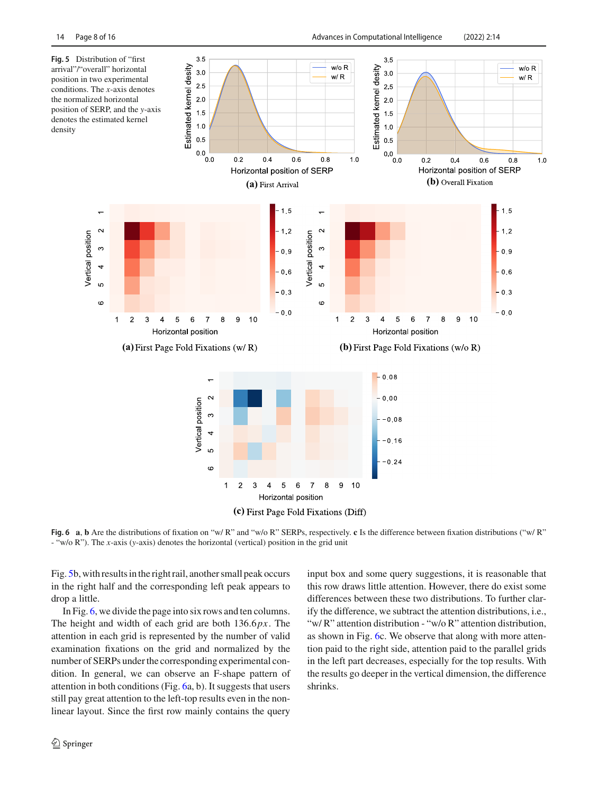<span id="page-7-0"></span>

<span id="page-7-1"></span>**Fig. 6 a**, **b** Are the distributions of fixation on "w/ R" and "w/o R" SERPs, respectively. **c** Is the difference between fixation distributions ("w/ R" - "w/o R"). The *x*-axis (*y*-axis) denotes the horizontal (vertical) position in the grid unit

Fig. [5b](#page-7-0), with results in the right rail, another small peak occurs in the right half and the corresponding left peak appears to drop a little.

In Fig. [6,](#page-7-1) we divide the page into six rows and ten columns. The height and width of each grid are both 136.6*px*. The attention in each grid is represented by the number of valid examination fixations on the grid and normalized by the number of SERPs under the corresponding experimental condition. In general, we can observe an F-shape pattern of attention in both conditions (Fig. [6a](#page-7-1), b). It suggests that users still pay great attention to the left-top results even in the nonlinear layout. Since the first row mainly contains the query

input box and some query suggestions, it is reasonable that this row draws little attention. However, there do exist some differences between these two distributions. To further clarify the difference, we subtract the attention distributions, i.e., "w/ R" attention distribution - "w/o R" attention distribution, as shown in Fig. [6c](#page-7-1). We observe that along with more attention paid to the right side, attention paid to the parallel grids in the left part decreases, especially for the top results. With the results go deeper in the vertical dimension, the difference shrinks.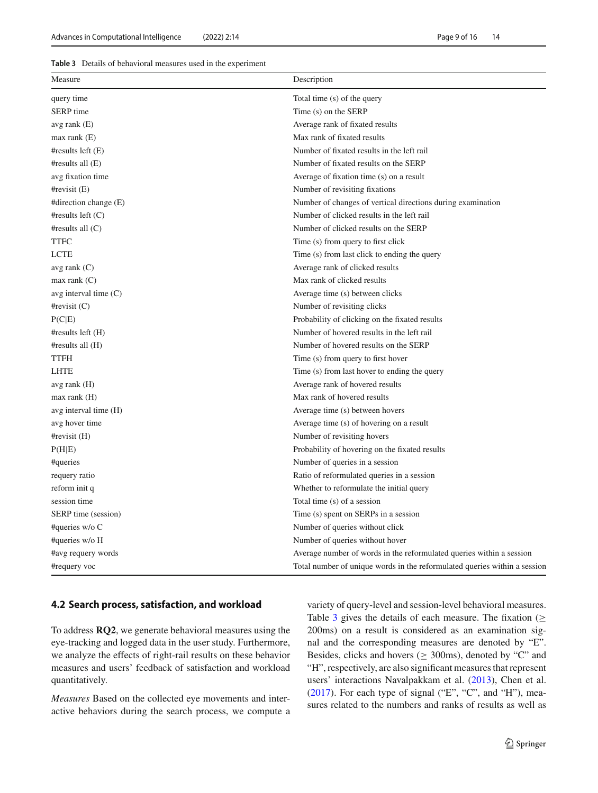#### <span id="page-8-0"></span>**Table 3** Details of behavioral measures used in the experiment

| Description<br>Measure  |                                                                           |  |
|-------------------------|---------------------------------------------------------------------------|--|
| query time              | Total time (s) of the query                                               |  |
| SERP time               | Time (s) on the SERP                                                      |  |
| avg rank $(E)$          | Average rank of fixated results                                           |  |
| $max$ rank $(E)$        | Max rank of fixated results                                               |  |
| #results left $(E)$     | Number of fixated results in the left rail                                |  |
| #results all $(E)$      | Number of fixated results on the SERP                                     |  |
| avg fixation time       | Average of fixation time (s) on a result                                  |  |
| $\#revisit(E)$          | Number of revisiting fixations                                            |  |
| #direction change $(E)$ | Number of changes of vertical directions during examination               |  |
| #results left $(C)$     | Number of clicked results in the left rail                                |  |
| #results all $(C)$      | Number of clicked results on the SERP                                     |  |
| <b>TTFC</b>             | Time (s) from query to first click                                        |  |
| LCTE                    | Time (s) from last click to ending the query                              |  |
| avg rank $(C)$          | Average rank of clicked results                                           |  |
| $max$ rank $(C)$        | Max rank of clicked results                                               |  |
| avg interval time $(C)$ | Average time (s) between clicks                                           |  |
| #revisit $(C)$          | Number of revisiting clicks                                               |  |
| P(C E)                  | Probability of clicking on the fixated results                            |  |
| #results left(H)        | Number of hovered results in the left rail                                |  |
| #results all $(H)$      | Number of hovered results on the SERP                                     |  |
| <b>TTFH</b>             | Time (s) from query to first hover                                        |  |
| <b>LHTE</b>             | Time (s) from last hover to ending the query                              |  |
| avg rank $(H)$          | Average rank of hovered results                                           |  |
| $max$ rank $(H)$        | Max rank of hovered results                                               |  |
| avg interval time (H)   | Average time (s) between hovers                                           |  |
| avg hover time          | Average time (s) of hovering on a result                                  |  |
| $\#revisit(H)$          | Number of revisiting hovers                                               |  |
| P(H E)                  | Probability of hovering on the fixated results                            |  |
| #queries                | Number of queries in a session                                            |  |
| requery ratio           | Ratio of reformulated queries in a session                                |  |
| reform init q           | Whether to reformulate the initial query                                  |  |
| session time            | Total time (s) of a session                                               |  |
| SERP time (session)     | Time (s) spent on SERPs in a session                                      |  |
| #queries $w/o C$        | Number of queries without click                                           |  |
| #queries w/o H          | Number of queries without hover                                           |  |
| #avg requery words      | Average number of words in the reformulated queries within a session      |  |
| #requery voc            | Total number of unique words in the reformulated queries within a session |  |

### **4.2 Search process, satisfaction, and workload**

To address **RQ2**, we generate behavioral measures using the eye-tracking and logged data in the user study. Furthermore, we analyze the effects of right-rail results on these behavior measures and users' feedback of satisfaction and workload quantitatively.

*Measures* Based on the collected eye movements and interactive behaviors during the search process, we compute a variety of query-level and session-level behavioral measures. Table [3](#page-8-0) gives the details of each measure. The fixation ( $\geq$ 200ms) on a result is considered as an examination signal and the corresponding measures are denoted by "E". Besides, clicks and hovers ( $\geq$  300ms), denoted by "C" and "H", respectively, are also significant measures that represent users' interactions Navalpakkam et al[.](#page-14-8) [\(2013\)](#page-14-8), Chen et al[.](#page-14-27) [\(2017](#page-14-27)). For each type of signal ("E", "C", and "H"), measures related to the numbers and ranks of results as well as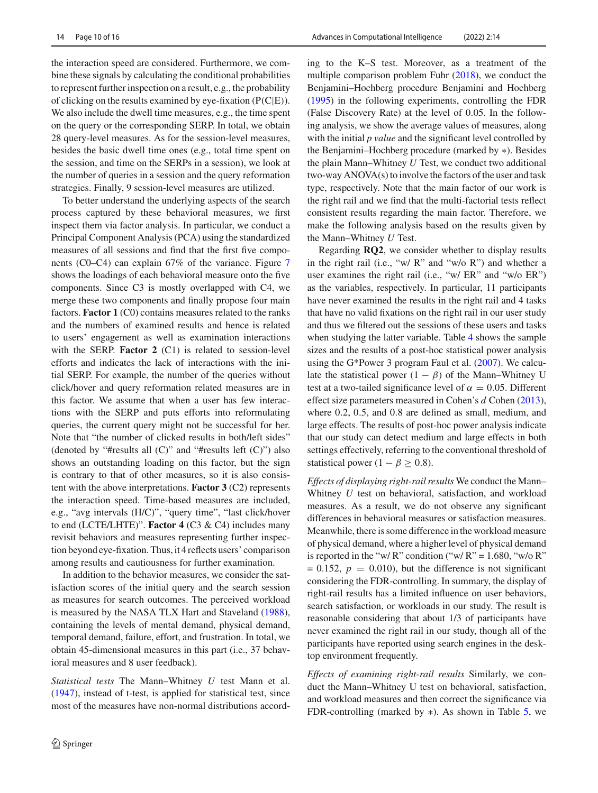the interaction speed are considered. Furthermore, we combine these signals by calculating the conditional probabilities to represent further inspection on a result, e.g., the probability of clicking on the results examined by eye-fixation (P(C|E)). We also include the dwell time measures, e.g., the time spent on the query or the corresponding SERP. In total, we obtain 28 query-level measures. As for the session-level measures, besides the basic dwell time ones (e.g., total time spent on the session, and time on the SERPs in a session), we look at the number of queries in a session and the query reformation strategies. Finally, 9 session-level measures are utilized.

To better understand the underlying aspects of the search process captured by these behavioral measures, we first inspect them via factor analysis. In particular, we conduct a Principal Component Analysis (PCA) using the standardized measures of all sessions and find that the first five components (C0–C4) can explain 67% of the variance. Figure [7](#page-10-0) shows the loadings of each behavioral measure onto the five components. Since C3 is mostly overlapped with C4, we merge these two components and finally propose four main factors. **Factor 1** (C0) contains measures related to the ranks and the numbers of examined results and hence is related to users' engagement as well as examination interactions with the SERP. **Factor 2** (C1) is related to session-level efforts and indicates the lack of interactions with the initial SERP. For example, the number of the queries without click/hover and query reformation related measures are in this factor. We assume that when a user has few interactions with the SERP and puts efforts into reformulating queries, the current query might not be successful for her. Note that "the number of clicked results in both/left sides" (denoted by "#results all  $(C)$ " and "#results left  $(C)$ ") also shows an outstanding loading on this factor, but the sign is contrary to that of other measures, so it is also consistent with the above interpretations. **Factor 3** (C2) represents the interaction speed. Time-based measures are included, e.g., "avg intervals (H/C)", "query time", "last click/hover to end (LCTE/LHTE)". **Factor 4** (C3 & C4) includes many revisit behaviors and measures representing further inspection beyond eye-fixation. Thus, it 4 reflects users' comparison among results and cautiousness for further examination.

In addition to the behavior measures, we consider the satisfaction scores of the initial query and the search session as measures for search outcomes. The perceived workload is measured by the NASA TLX Hart and Stavelan[d](#page-14-21) [\(1988](#page-14-21)), containing the levels of mental demand, physical demand, temporal demand, failure, effort, and frustration. In total, we obtain 45-dimensional measures in this part (i.e., 37 behavioral measures and 8 user feedback).

*Statistical tests* The Mann–Whitney *U* test Mann et al[.](#page-14-28) [\(1947](#page-14-28)), instead of t-test, is applied for statistical test, since most of the measures have non-normal distributions according to the K–S test. Moreover, as a treatment of the multiple comparison problem Fuh[r](#page-14-29) [\(2018\)](#page-14-29), we conduct the Benjamini–Hochberg procedure Benjamini and Hochber[g](#page-14-30) [\(1995](#page-14-30)) in the following experiments, controlling the FDR (False Discovery Rate) at the level of 0.05. In the following analysis, we show the average values of measures, along with the initial *p value* and the significant level controlled by the Benjamini–Hochberg procedure (marked by ∗). Besides the plain Mann–Whitney *U* Test, we conduct two additional two-way ANOVA(s) to involve the factors of the user and task type, respectively. Note that the main factor of our work is the right rail and we find that the multi-factorial tests reflect consistent results regarding the main factor. Therefore, we make the following analysis based on the results given by the Mann–Whitney *U* Test.

Regarding **RQ2**, we consider whether to display results in the right rail (i.e., "w/ R" and "w/o R") and whether a user examines the right rail (i.e., "w/ ER" and "w/o ER") as the variables, respectively. In particular, 11 participants have never examined the results in the right rail and 4 tasks that have no valid fixations on the right rail in our user study and thus we filtered out the sessions of these users and tasks when studying the latter variable. Table [4](#page-10-1) shows the sample sizes and the results of a post-hoc statistical power analysis using the G\*Power 3 program Faul et al[.](#page-14-31) [\(2007\)](#page-14-31). We calculate the statistical power  $(1 - \beta)$  of the Mann–Whitney U test at a two-tailed significance level of  $\alpha = 0.05$ . Different effect size parameters measured in Cohen's *d* Cohe[n](#page-14-32) [\(2013](#page-14-32)), where 0.2, 0.5, and 0.8 are defined as small, medium, and large effects. The results of post-hoc power analysis indicate that our study can detect medium and large effects in both settings effectively, referring to the conventional threshold of statistical power (1 –  $\beta \geq 0.8$ ).

*Effects of displaying right-rail results* We conduct the Mann– Whitney *U* test on behavioral, satisfaction, and workload measures. As a result, we do not observe any significant differences in behavioral measures or satisfaction measures. Meanwhile, there is some difference in the workload measure of physical demand, where a higher level of physical demand is reported in the "w/ $R$ " condition ("w/ $R$ " = 1.680, "w/o  $R$ "  $= 0.152$ ,  $p = 0.010$ , but the difference is not significant considering the FDR-controlling. In summary, the display of right-rail results has a limited influence on user behaviors, search satisfaction, or workloads in our study. The result is reasonable considering that about 1/3 of participants have never examined the right rail in our study, though all of the participants have reported using search engines in the desktop environment frequently.

*Effects of examining right-rail results* Similarly, we conduct the Mann–Whitney U test on behavioral, satisfaction, and workload measures and then correct the significance via FDR-controlling (marked by ∗). As shown in Table [5,](#page-10-2) we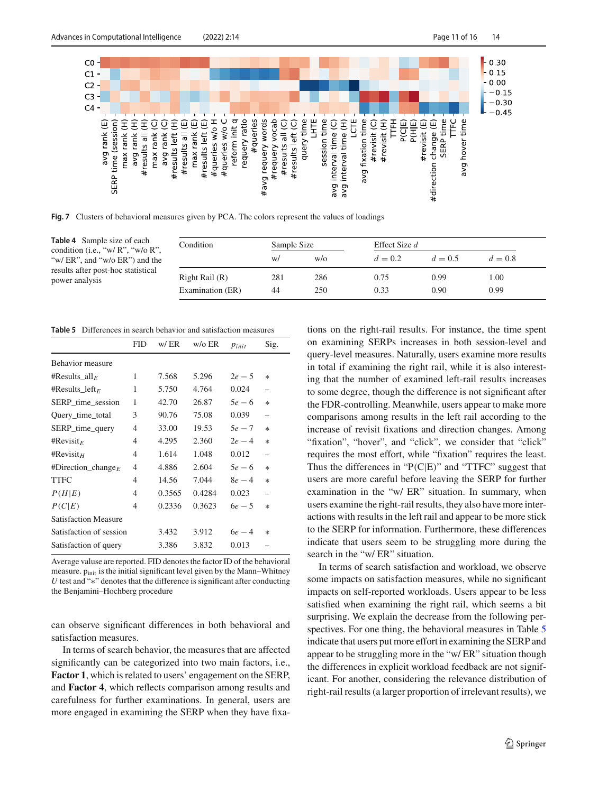

<span id="page-10-0"></span>**Fig. 7** Clusters of behavioral measures given by PCA. The colors represent the values of loadings

<span id="page-10-1"></span>**Table 4** Sample size of each condition (i.e., "w/ R", "w/o R", "w/ ER", and "w/o ER") and the results after post-hoc statistical power analysis

| Condition        | Sample Size |     | Effect Size d |           |           |
|------------------|-------------|-----|---------------|-----------|-----------|
|                  | W/          | W/O | $d = 0.2$     | $d = 0.5$ | $d = 0.8$ |
| Right Rail (R)   | 281         | 286 | 0.75          | 0.99      | 1.00      |
| Examination (ER) | 44          | 250 | 0.33          | 0.90      | 0.99      |

**Table 5** Differences in search behavior and satisfaction measures

<span id="page-10-2"></span>

|                             | <b>FID</b>     | w/ER   | $w$ / $\circ$ ER | $p_{init}$ | Sig.   |
|-----------------------------|----------------|--------|------------------|------------|--------|
| <b>Behavior</b> measure     |                |        |                  |            |        |
| #Results_all <sub>E</sub>   | 1              | 7.568  | 5.296            | $2e - 5$   | $\ast$ |
| #Results left <sub>E</sub>  | 1              | 5.750  | 4.764            | 0.024      |        |
| SERP_time_session           | 1              | 42.70  | 26.87            | $5e - 6$   | $\ast$ |
| Query_time_total            | 3              | 90.76  | 75.08            | 0.039      | -      |
| SERP_time_query             | 4              | 33.00  | 19.53            | $5e-7$     | $\ast$ |
| #Revisit <sub>E</sub>       | 4              | 4.295  | 2.360            | $2e-4$     | $\ast$ |
| #Revisit <sub>H</sub>       | 4              | 1.614  | 1.048            | 0.012      |        |
| #Direction_change $_F$      | $\overline{4}$ | 4.886  | 2.604            | $5e - 6$   | $\ast$ |
| TTFC                        | 4              | 14.56  | 7.044            | $8e-4$     | $\ast$ |
| P(H E)                      | $\overline{4}$ | 0.3565 | 0.4284           | 0.023      |        |
| P(C E)                      | 4              | 0.2336 | 0.3623           | $6e - 5$   | $\ast$ |
| <b>Satisfaction Measure</b> |                |        |                  |            |        |
| Satisfaction of session     |                | 3.432  | 3.912            | $6e - 4$   | $\ast$ |
| Satisfaction of query       |                | 3.386  | 3.832            | 0.013      |        |

Average valuse are reported. FID denotes the factor ID of the behavioral measure.  $p<sub>init</sub>$  is the initial significant level given by the Mann–Whitney *U* test and "<sup>∗</sup>" denotes that the difference is significant after conducting the Benjamini–Hochberg procedure

can observe significant differences in both behavioral and satisfaction measures.

In terms of search behavior, the measures that are affected significantly can be categorized into two main factors, i.e., **Factor 1**, which is related to users' engagement on the SERP, and **Factor 4**, which reflects comparison among results and carefulness for further examinations. In general, users are more engaged in examining the SERP when they have fixations on the right-rail results. For instance, the time spent on examining SERPs increases in both session-level and query-level measures. Naturally, users examine more results in total if examining the right rail, while it is also interesting that the number of examined left-rail results increases to some degree, though the difference is not significant after the FDR-controlling. Meanwhile, users appear to make more comparisons among results in the left rail according to the increase of revisit fixations and direction changes. Among "fixation", "hover", and "click", we consider that "click" requires the most effort, while "fixation" requires the least. Thus the differences in " $P(C|E)$ " and "TTFC" suggest that users are more careful before leaving the SERP for further examination in the "w/ ER" situation. In summary, when users examine the right-rail results, they also have more interactions with results in the left rail and appear to be more stick to the SERP for information. Furthermore, these differences indicate that users seem to be struggling more during the search in the "w/ ER" situation.

In terms of search satisfaction and workload, we observe some impacts on satisfaction measures, while no significant impacts on self-reported workloads. Users appear to be less satisfied when examining the right rail, which seems a bit surprising. We explain the decrease from the following per-spectives. For one thing, the behavioral measures in Table [5](#page-10-2) indicate that users put more effort in examining the SERP and appear to be struggling more in the "w/ ER" situation though the differences in explicit workload feedback are not significant. For another, considering the relevance distribution of right-rail results (a larger proportion of irrelevant results), we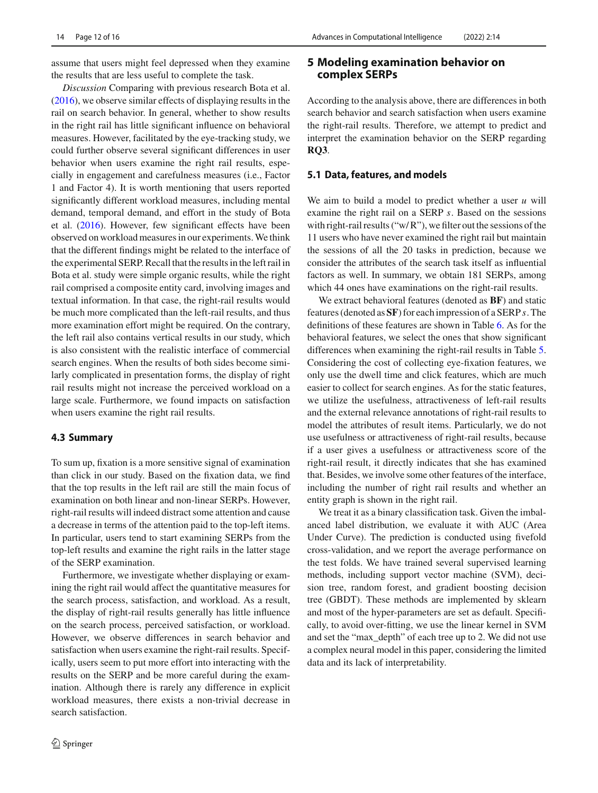assume that users might feel depressed when they examine the results that are less useful to complete the task.

*Discussion* Comparing with previous research Bota et al[.](#page-14-0) [\(2016](#page-14-0)), we observe similar effects of displaying results in the rail on search behavior. In general, whether to show results in the right rail has little significant influence on behavioral measures. However, facilitated by the eye-tracking study, we could further observe several significant differences in user behavior when users examine the right rail results, especially in engagement and carefulness measures (i.e., Factor 1 and Factor 4). It is worth mentioning that users reported significantly different workload measures, including mental demand, temporal demand, and effort in the study of Bota et al[.](#page-14-0) [\(2016\)](#page-14-0). However, few significant effects have been observed on workload measures in our experiments.We think that the different findings might be related to the interface of the experimental SERP. Recall that the results in the left rail in Bota et al. study were simple organic results, while the right rail comprised a composite entity card, involving images and textual information. In that case, the right-rail results would be much more complicated than the left-rail results, and thus more examination effort might be required. On the contrary, the left rail also contains vertical results in our study, which is also consistent with the realistic interface of commercial search engines. When the results of both sides become similarly complicated in presentation forms, the display of right rail results might not increase the perceived workload on a large scale. Furthermore, we found impacts on satisfaction when users examine the right rail results.

## **4.3 Summary**

To sum up, fixation is a more sensitive signal of examination than click in our study. Based on the fixation data, we find that the top results in the left rail are still the main focus of examination on both linear and non-linear SERPs. However, right-rail results will indeed distract some attention and cause a decrease in terms of the attention paid to the top-left items. In particular, users tend to start examining SERPs from the top-left results and examine the right rails in the latter stage of the SERP examination.

Furthermore, we investigate whether displaying or examining the right rail would affect the quantitative measures for the search process, satisfaction, and workload. As a result, the display of right-rail results generally has little influence on the search process, perceived satisfaction, or workload. However, we observe differences in search behavior and satisfaction when users examine the right-rail results. Specifically, users seem to put more effort into interacting with the results on the SERP and be more careful during the examination. Although there is rarely any difference in explicit workload measures, there exists a non-trivial decrease in search satisfaction.

# **5 Modeling examination behavior on complex SERPs**

According to the analysis above, there are differences in both search behavior and search satisfaction when users examine the right-rail results. Therefore, we attempt to predict and interpret the examination behavior on the SERP regarding **RQ3**.

### **5.1 Data, features, and models**

We aim to build a model to predict whether a user *u* will examine the right rail on a SERP *s*. Based on the sessions with right-rail results (" $w/R$ "), we filter out the sessions of the 11 users who have never examined the right rail but maintain the sessions of all the 20 tasks in prediction, because we consider the attributes of the search task itself as influential factors as well. In summary, we obtain 181 SERPs, among which 44 ones have examinations on the right-rail results.

We extract behavioral features (denoted as **BF**) and static features (denoted as **SF**) for each impression of a SERP *s*. The definitions of these features are shown in Table [6.](#page-12-0) As for the behavioral features, we select the ones that show significant differences when examining the right-rail results in Table [5.](#page-10-2) Considering the cost of collecting eye-fixation features, we only use the dwell time and click features, which are much easier to collect for search engines. As for the static features, we utilize the usefulness, attractiveness of left-rail results and the external relevance annotations of right-rail results to model the attributes of result items. Particularly, we do not use usefulness or attractiveness of right-rail results, because if a user gives a usefulness or attractiveness score of the right-rail result, it directly indicates that she has examined that. Besides, we involve some other features of the interface, including the number of right rail results and whether an entity graph is shown in the right rail.

We treat it as a binary classification task. Given the imbalanced label distribution, we evaluate it with AUC (Area Under Curve). The prediction is conducted using fivefold cross-validation, and we report the average performance on the test folds. We have trained several supervised learning methods, including support vector machine (SVM), decision tree, random forest, and gradient boosting decision tree (GBDT). These methods are implemented by sklearn and most of the hyper-parameters are set as default. Specifically, to avoid over-fitting, we use the linear kernel in SVM and set the "max\_depth" of each tree up to 2. We did not use a complex neural model in this paper, considering the limited data and its lack of interpretability.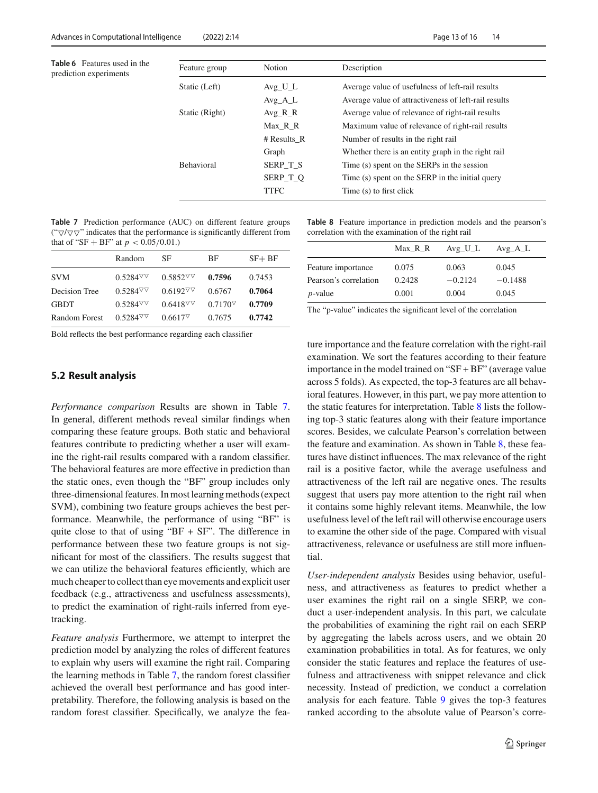<span id="page-12-0"></span>**Table 6** Features used in the prediction experiments

| Feature group     | Notion               | Description                                          |
|-------------------|----------------------|------------------------------------------------------|
| Static (Left)     | $Avg$ <sub>L</sub> L | Average value of usefulness of left-rail results     |
|                   | $Avg\_A\_L$          | Average value of attractiveness of left-rail results |
| Static (Right)    | $Avg_R_R$            | Average value of relevance of right-rail results     |
|                   | Max R R              | Maximum value of relevance of right-rail results     |
|                   | # Results R          | Number of results in the right rail                  |
|                   | Graph                | Whether there is an entity graph in the right rail   |
| <b>Behavioral</b> | SERP T S             | Time (s) spent on the SERPs in the session           |
|                   | SERP T O             | Time (s) spent on the SERP in the initial query      |
|                   | <b>TTFC</b>          | Time (s) to first click                              |

<span id="page-12-1"></span>**Table 7** Prediction performance (AUC) on different feature groups (" $\nabla/\nabla \nabla$ " indicates that the performance is significantly different from that of "SF + BF" at  $p < 0.05/0.01$ .)

|                      | Random         | SF                                             | BF                                             | $SF + BF$ |
|----------------------|----------------|------------------------------------------------|------------------------------------------------|-----------|
| <b>SVM</b>           | $0.5284\nabla$ | $0.5852$ <sup><math>\triangledown</math></sup> | 0.7596                                         | 0.7453    |
| Decision Tree        | $0.5284\nabla$ | $0.6192\sigma\sigma$                           | 0.6767                                         | 0.7064    |
| <b>GBDT</b>          | $0.5284\nabla$ | $0.6418\%$                                     | $0.7170$ <sup><math>\triangledown</math></sup> | 0.7709    |
| <b>Random Forest</b> | $0.5284\nabla$ | $0.6617$ <sup><math>\triangledown</math></sup> | 0.7675                                         | 0.7742    |

Bold reflects the best performance regarding each classifier

# **5.2 Result analysis**

*Performance comparison* Results are shown in Table [7.](#page-12-1) In general, different methods reveal similar findings when comparing these feature groups. Both static and behavioral features contribute to predicting whether a user will examine the right-rail results compared with a random classifier. The behavioral features are more effective in prediction than the static ones, even though the "BF" group includes only three-dimensional features. In most learning methods (expect SVM), combining two feature groups achieves the best performance. Meanwhile, the performance of using "BF" is quite close to that of using " $BF + SF$ ". The difference in performance between these two feature groups is not significant for most of the classifiers. The results suggest that we can utilize the behavioral features efficiently, which are much cheaper to collect than eye movements and explicit user feedback (e.g., attractiveness and usefulness assessments), to predict the examination of right-rails inferred from eyetracking.

*Feature analysis* Furthermore, we attempt to interpret the prediction model by analyzing the roles of different features to explain why users will examine the right rail. Comparing the learning methods in Table [7,](#page-12-1) the random forest classifier achieved the overall best performance and has good interpretability. Therefore, the following analysis is based on the random forest classifier. Specifically, we analyze the fea-

<span id="page-12-2"></span>**Table 8** Feature importance in prediction models and the pearson's correlation with the examination of the right rail

|                       | Max R R | $Avg_U_L$ | $Avg\_A\_L$ |
|-----------------------|---------|-----------|-------------|
| Feature importance    | 0.075   | 0.063     | 0.045       |
| Pearson's correlation | 0.2428  | $-0.2124$ | $-0.1488$   |
| $p$ -value            | 0.001   | 0.004     | 0.045       |

The "p-value" indicates the significant level of the correlation

ture importance and the feature correlation with the right-rail examination. We sort the features according to their feature importance in the model trained on "SF + BF" (average value across 5 folds). As expected, the top-3 features are all behavioral features. However, in this part, we pay more attention to the static features for interpretation. Table [8](#page-12-2) lists the following top-3 static features along with their feature importance scores. Besides, we calculate Pearson's correlation between the feature and examination. As shown in Table [8,](#page-12-2) these features have distinct influences. The max relevance of the right rail is a positive factor, while the average usefulness and attractiveness of the left rail are negative ones. The results suggest that users pay more attention to the right rail when it contains some highly relevant items. Meanwhile, the low usefulness level of the left rail will otherwise encourage users to examine the other side of the page. Compared with visual attractiveness, relevance or usefulness are still more influential.

*User-independent analysis* Besides using behavior, usefulness, and attractiveness as features to predict whether a user examines the right rail on a single SERP, we conduct a user-independent analysis. In this part, we calculate the probabilities of examining the right rail on each SERP by aggregating the labels across users, and we obtain 20 examination probabilities in total. As for features, we only consider the static features and replace the features of usefulness and attractiveness with snippet relevance and click necessity. Instead of prediction, we conduct a correlation analysis for each feature. Table [9](#page-13-0) gives the top-3 features ranked according to the absolute value of Pearson's corre-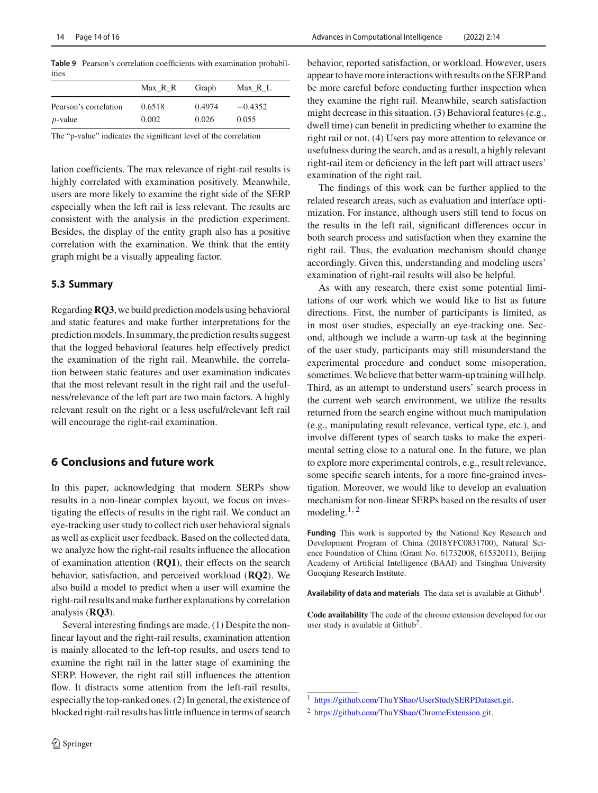<span id="page-13-0"></span>**Table 9** Pearson's correlation coefficients with examination probabilities

|                       | Max R R | Graph  | $Max_R_L$ |
|-----------------------|---------|--------|-----------|
| Pearson's correlation | 0.6518  | 0.4974 | $-0.4352$ |
| $p$ -value            | 0.002   | 0.026  | 0.055     |

The "p-value" indicates the significant level of the correlation

lation coefficients. The max relevance of right-rail results is highly correlated with examination positively. Meanwhile, users are more likely to examine the right side of the SERP especially when the left rail is less relevant. The results are consistent with the analysis in the prediction experiment. Besides, the display of the entity graph also has a positive correlation with the examination. We think that the entity graph might be a visually appealing factor.

### **5.3 Summary**

Regarding**RQ3**, we build prediction models using behavioral and static features and make further interpretations for the prediction models. In summary, the prediction results suggest that the logged behavioral features help effectively predict the examination of the right rail. Meanwhile, the correlation between static features and user examination indicates that the most relevant result in the right rail and the usefulness/relevance of the left part are two main factors. A highly relevant result on the right or a less useful/relevant left rail will encourage the right-rail examination.

# **6 Conclusions and future work**

In this paper, acknowledging that modern SERPs show results in a non-linear complex layout, we focus on investigating the effects of results in the right rail. We conduct an eye-tracking user study to collect rich user behavioral signals as well as explicit user feedback. Based on the collected data, we analyze how the right-rail results influence the allocation of examination attention (**RQ1**), their effects on the search behavior, satisfaction, and perceived workload (**RQ2**). We also build a model to predict when a user will examine the right-rail results and make further explanations by correlation analysis (**RQ3**).

Several interesting findings are made. (1) Despite the nonlinear layout and the right-rail results, examination attention is mainly allocated to the left-top results, and users tend to examine the right rail in the latter stage of examining the SERP. However, the right rail still influences the attention flow. It distracts some attention from the left-rail results, especially the top-ranked ones. (2) In general, the existence of blocked right-rail results has little influence in terms of search

behavior, reported satisfaction, or workload. However, users appear to have more interactions with results on the SERP and be more careful before conducting further inspection when they examine the right rail. Meanwhile, search satisfaction might decrease in this situation. (3) Behavioral features (e.g., dwell time) can benefit in predicting whether to examine the right rail or not. (4) Users pay more attention to relevance or usefulness during the search, and as a result, a highly relevant right-rail item or deficiency in the left part will attract users' examination of the right rail.

The findings of this work can be further applied to the related research areas, such as evaluation and interface optimization. For instance, although users still tend to focus on the results in the left rail, significant differences occur in both search process and satisfaction when they examine the right rail. Thus, the evaluation mechanism should change accordingly. Given this, understanding and modeling users' examination of right-rail results will also be helpful.

As with any research, there exist some potential limitations of our work which we would like to list as future directions. First, the number of participants is limited, as in most user studies, especially an eye-tracking one. Second, although we include a warm-up task at the beginning of the user study, participants may still misunderstand the experimental procedure and conduct some misoperation, sometimes.We believe that better warm-up training will help. Third, as an attempt to understand users' search process in the current web search environment, we utilize the results returned from the search engine without much manipulation (e.g., manipulating result relevance, vertical type, etc.), and involve different types of search tasks to make the experimental setting close to a natural one. In the future, we plan to explore more experimental controls, e.g., result relevance, some specific search intents, for a more fine-grained investigation. Moreover, we would like to develop an evaluation mechanism for non-linear SERPs based on the results of user modeling. $1, 2$  $1, 2$  $1, 2$ 

**Funding** This work is supported by the National Key Research and Development Program of China (2018YFC0831700), Natural Science Foundation of China (Grant No. 61732008, 61532011), Beijing Academy of Artificial Intelligence (BAAI) and Tsinghua University Guoqiang Research Institute.

Availability of data and materials The data set is available at Github<sup>1</sup>.

**Code availability** The code of the chrome extension developed for our user study is available at  $Github<sup>2</sup>$ .

<sup>1</sup> [https://github.com/ThuYShao/UserStudySERPDataset.git.](https://github.com/ThuYShao/UserStudySERPDataset.git)

<span id="page-13-2"></span><span id="page-13-1"></span><sup>&</sup>lt;sup>2</sup> [https://github.com/ThuYShao/ChromeExtension.git.](https://github.com/ThuYShao/ChromeExtension.git)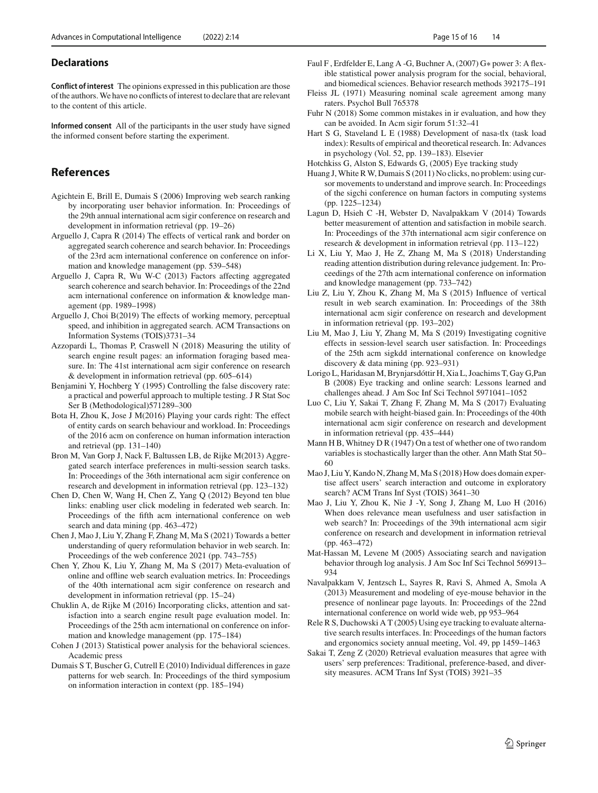### **Declarations**

**Conflict of interest** The opinions expressed in this publication are those of the authors.We have no conflicts of interest to declare that are relevant to the content of this article.

**Informed consent** All of the participants in the user study have signed the informed consent before starting the experiment.

# **References**

- <span id="page-14-1"></span>Agichtein E, Brill E, Dumais S (2006) Improving web search ranking by incorporating user behavior information. In: Proceedings of the 29th annual international acm sigir conference on research and development in information retrieval (pp. 19–26)
- <span id="page-14-9"></span>Arguello J, Capra R (2014) The effects of vertical rank and border on aggregated search coherence and search behavior. In: Proceedings of the 23rd acm international conference on conference on information and knowledge management (pp. 539–548)
- <span id="page-14-26"></span>Arguello J, Capra R, Wu W-C (2013) Factors affecting aggregated search coherence and search behavior. In: Proceedings of the 22nd acm international conference on information & knowledge management (pp. 1989–1998)
- <span id="page-14-18"></span>Arguello J, Choi B(2019) The effects of working memory, perceptual speed, and inhibition in aggregated search. ACM Transactions on Information Systems (TOIS)3731–34
- <span id="page-14-10"></span>Azzopardi L, Thomas P, Craswell N (2018) Measuring the utility of search engine result pages: an information foraging based measure. In: The 41st international acm sigir conference on research & development in information retrieval (pp. 605–614)
- <span id="page-14-30"></span>Benjamini Y, Hochberg Y (1995) Controlling the false discovery rate: a practical and powerful approach to multiple testing. J R Stat Soc Ser B (Methodological)571289–300
- <span id="page-14-0"></span>Bota H, Zhou K, Jose J M(2016) Playing your cards right: The effect of entity cards on search behaviour and workload. In: Proceedings of the 2016 acm on conference on human information interaction and retrieval (pp. 131–140)
- <span id="page-14-2"></span>Bron M, Van Gorp J, Nack F, Baltussen LB, de Rijke M(2013) Aggregated search interface preferences in multi-session search tasks. In: Proceedings of the 36th international acm sigir conference on research and development in information retrieval (pp. 123–132)
- <span id="page-14-7"></span>Chen D, Chen W, Wang H, Chen Z, Yang Q (2012) Beyond ten blue links: enabling user click modeling in federated web search. In: Proceedings of the fifth acm international conference on web search and data mining (pp. 463–472)
- <span id="page-14-14"></span>Chen J, Mao J, Liu Y, Zhang F, Zhang M, Ma S (2021) Towards a better understanding of query reformulation behavior in web search. In: Proceedings of the web conference 2021 (pp. 743–755)
- <span id="page-14-27"></span>Chen Y, Zhou K, Liu Y, Zhang M, Ma S (2017) Meta-evaluation of online and offline web search evaluation metrics. In: Proceedings of the 40th international acm sigir conference on research and development in information retrieval (pp. 15–24)
- <span id="page-14-19"></span>Chuklin A, de Rijke M (2016) Incorporating clicks, attention and satisfaction into a search engine result page evaluation model. In: Proceedings of the 25th acm international on conference on information and knowledge management (pp. 175–184)
- <span id="page-14-32"></span>Cohen J (2013) Statistical power analysis for the behavioral sciences. Academic press
- <span id="page-14-17"></span>Dumais S T, Buscher G, Cutrell E (2010) Individual differences in gaze patterns for web search. In: Proceedings of the third symposium on information interaction in context (pp. 185–194)
- <span id="page-14-31"></span>Faul F , Erdfelder E, Lang A -G, Buchner A, (2007) G∗ power 3: A flexible statistical power analysis program for the social, behavioral, and biomedical sciences. Behavior research methods 392175–191
- <span id="page-14-24"></span>Fleiss JL (1971) Measuring nominal scale agreement among many raters. Psychol Bull 765378
- <span id="page-14-29"></span>Fuhr N (2018) Some common mistakes in ir evaluation, and how they can be avoided. In Acm sigir forum 51:32–41
- <span id="page-14-21"></span>Hart S G, Staveland L E (1988) Development of nasa-tlx (task load index): Results of empirical and theoretical research. In: Advances in psychology (Vol. 52, pp. 139–183). Elsevier
- <span id="page-14-4"></span>Hotchkiss G, Alston S, Edwards G, (2005) Eye tracking study
- <span id="page-14-12"></span>Huang J, White R W, Dumais S (2011) No clicks, no problem: using cursor movements to understand and improve search. In: Proceedings of the sigchi conference on human factors in computing systems (pp. 1225–1234)
- <span id="page-14-15"></span>Lagun D, Hsieh C -H, Webster D, Navalpakkam V (2014) Towards better measurement of attention and satisfaction in mobile search. In: Proceedings of the 37th international acm sigir conference on research & development in information retrieval (pp. 113–122)
- <span id="page-14-16"></span>Li X, Liu Y, Mao J, He Z, Zhang M, Ma S (2018) Understanding reading attention distribution during relevance judgement. In: Proceedings of the 27th acm international conference on information and knowledge management (pp. 733–742)
- <span id="page-14-6"></span>Liu Z, Liu Y, Zhou K, Zhang M, Ma S (2015) Influence of vertical result in web search examination. In: Proceedings of the 38th international acm sigir conference on research and development in information retrieval (pp. 193–202)
- <span id="page-14-13"></span>Liu M, Mao J, Liu Y, Zhang M, Ma S (2019) Investigating cognitive effects in session-level search user satisfaction. In: Proceedings of the 25th acm sigkdd international conference on knowledge discovery & data mining (pp. 923–931)
- <span id="page-14-25"></span>Lorigo L, Haridasan M, Brynjarsdóttir H, Xia L, Joachims T, Gay G,Pan B (2008) Eye tracking and online search: Lessons learned and challenges ahead. J Am Soc Inf Sci Technol 5971041–1052
- <span id="page-14-23"></span>Luo C, Liu Y, Sakai T, Zhang F, Zhang M, Ma S (2017) Evaluating mobile search with height-biased gain. In: Proceedings of the 40th international acm sigir conference on research and development in information retrieval (pp. 435–444)
- <span id="page-14-28"></span>Mann H B, Whitney D R (1947) On a test of whether one of two random variables is stochastically larger than the other. Ann Math Stat 50– 60
- <span id="page-14-20"></span>Mao J, Liu Y, Kando N, Zhang M, Ma S (2018) How does domain expertise affect users' search interaction and outcome in exploratory search? ACM Trans Inf Syst (TOIS) 3641–30
- <span id="page-14-22"></span>Mao J, Liu Y, Zhou K, Nie J -Y, Song J, Zhang M, Luo H (2016) When does relevance mean usefulness and user satisfaction in web search? In: Proceedings of the 39th international acm sigir conference on research and development in information retrieval (pp. 463–472)
- <span id="page-14-11"></span>Mat-Hassan M, Levene M (2005) Associating search and navigation behavior through log analysis. J Am Soc Inf Sci Technol 569913– 934
- <span id="page-14-8"></span>Navalpakkam V, Jentzsch L, Sayres R, Ravi S, Ahmed A, Smola A (2013) Measurement and modeling of eye-mouse behavior in the presence of nonlinear page layouts. In: Proceedings of the 22nd international conference on world wide web, pp 953–964
- <span id="page-14-3"></span>Rele R S, Duchowski A T (2005) Using eye tracking to evaluate alternative search results interfaces. In: Proceedings of the human factors and ergonomics society annual meeting, Vol. 49, pp 1459–1463
- <span id="page-14-5"></span>Sakai T, Zeng Z (2020) Retrieval evaluation measures that agree with users' serp preferences: Traditional, preference-based, and diversity measures. ACM Trans Inf Syst (TOIS) 3921–35